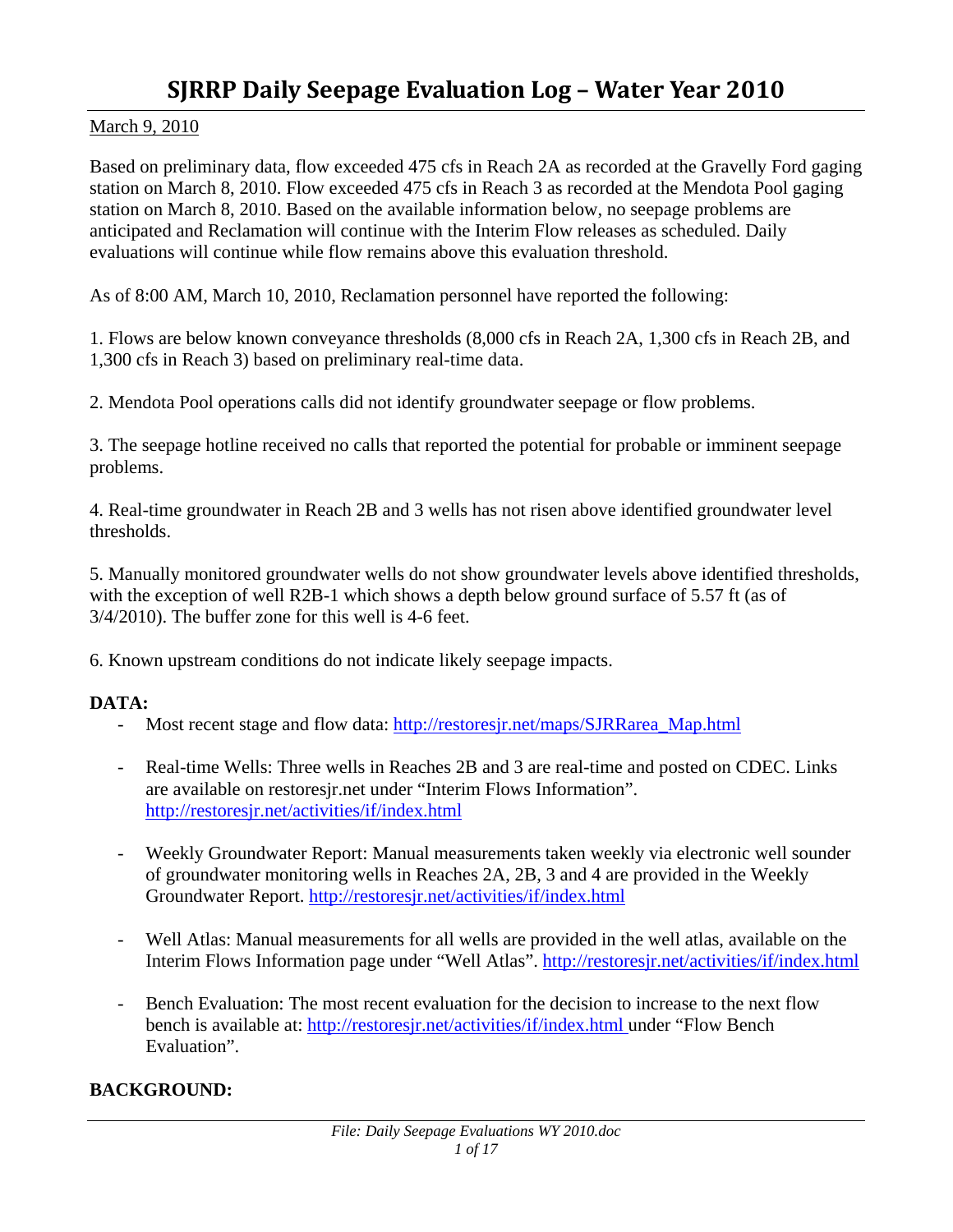# **SJRRP Daily Seepage Evaluation Log – Water Year 2010**

# March 9, 2010

Based on preliminary data, flow exceeded 475 cfs in Reach 2A as recorded at the Gravelly Ford gaging station on March 8, 2010. Flow exceeded 475 cfs in Reach 3 as recorded at the Mendota Pool gaging station on March 8, 2010. Based on the available information below, no seepage problems are anticipated and Reclamation will continue with the Interim Flow releases as scheduled. Daily evaluations will continue while flow remains above this evaluation threshold.

As of 8:00 AM, March 10, 2010, Reclamation personnel have reported the following:

1. Flows are below known conveyance thresholds (8,000 cfs in Reach 2A, 1,300 cfs in Reach 2B, and 1,300 cfs in Reach 3) based on preliminary real-time data.

2. Mendota Pool operations calls did not identify groundwater seepage or flow problems.

3. The seepage hotline received no calls that reported the potential for probable or imminent seepage problems.

4. Real-time groundwater in Reach 2B and 3 wells has not risen above identified groundwater level thresholds.

5. Manually monitored groundwater wells do not show groundwater levels above identified thresholds, with the exception of well R2B-1 which shows a depth below ground surface of 5.57 ft (as of 3/4/2010). The buffer zone for this well is 4-6 feet.

6. Known upstream conditions do not indicate likely seepage impacts.

# **DATA:**

- Most recent stage and flow data: http://restoresjr.net/maps/SJRRarea\_Map.html
- Real-time Wells: Three wells in Reaches 2B and 3 are real-time and posted on CDEC. Links are available on restoresjr.net under "Interim Flows Information". http://restoresjr.net/activities/if/index.html
- Weekly Groundwater Report: Manual measurements taken weekly via electronic well sounder of groundwater monitoring wells in Reaches 2A, 2B, 3 and 4 are provided in the Weekly Groundwater Report. http://restoresjr.net/activities/if/index.html
- Well Atlas: Manual measurements for all wells are provided in the well atlas, available on the Interim Flows Information page under "Well Atlas". http://restoresjr.net/activities/if/index.html
- Bench Evaluation: The most recent evaluation for the decision to increase to the next flow bench is available at: http://restoresjr.net/activities/if/index.html under "Flow Bench Evaluation".

# **BACKGROUND:**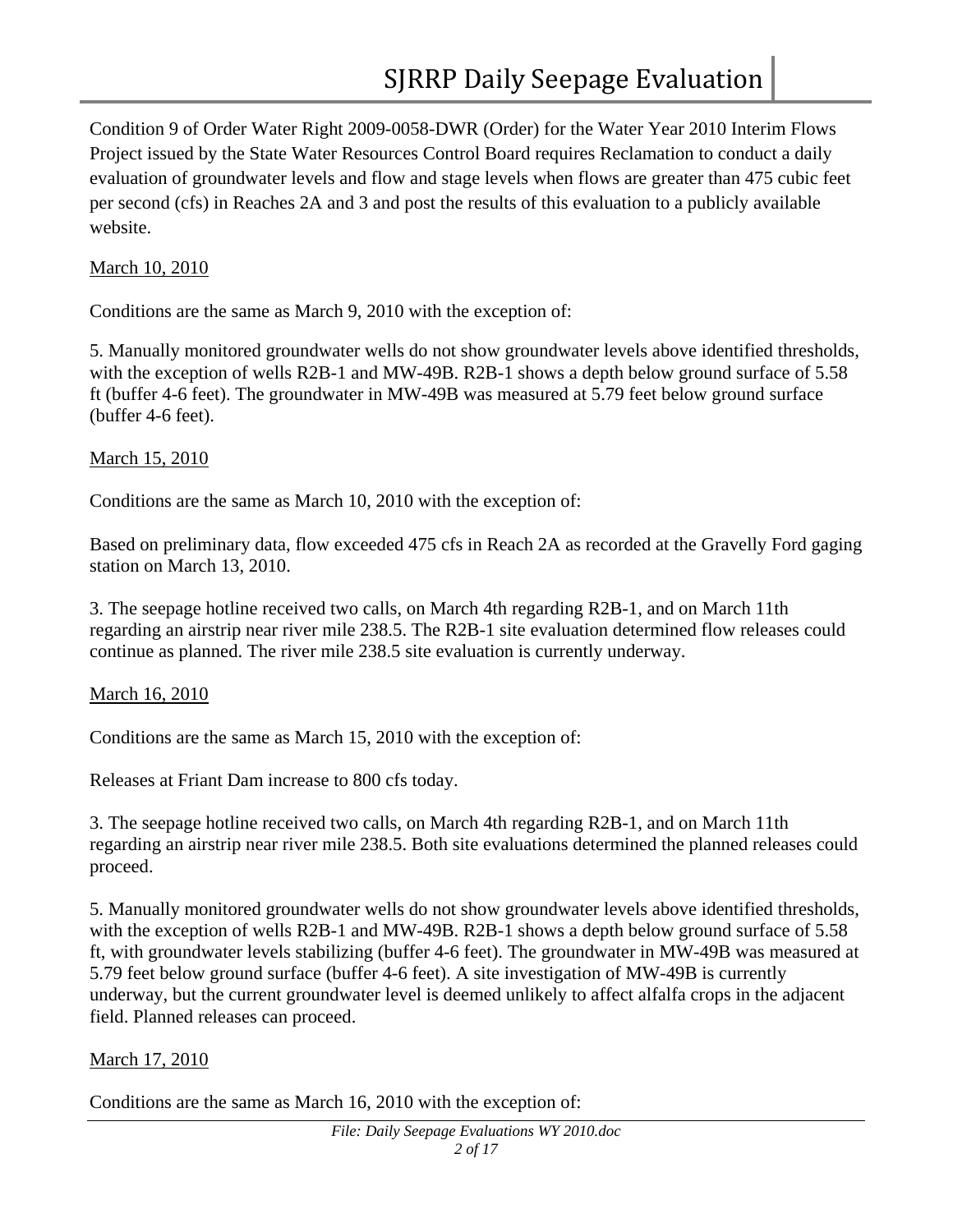Condition 9 of Order Water Right 2009-0058-DWR (Order) for the Water Year 2010 Interim Flows Project issued by the State Water Resources Control Board requires Reclamation to conduct a daily evaluation of groundwater levels and flow and stage levels when flows are greater than 475 cubic feet per second (cfs) in Reaches 2A and 3 and post the results of this evaluation to a publicly available website.

## March 10, 2010

Conditions are the same as March 9, 2010 with the exception of:

5. Manually monitored groundwater wells do not show groundwater levels above identified thresholds, with the exception of wells R2B-1 and MW-49B. R2B-1 shows a depth below ground surface of 5.58 ft (buffer 4-6 feet). The groundwater in MW-49B was measured at 5.79 feet below ground surface (buffer 4-6 feet).

## March 15, 2010

Conditions are the same as March 10, 2010 with the exception of:

Based on preliminary data, flow exceeded 475 cfs in Reach 2A as recorded at the Gravelly Ford gaging station on March 13, 2010.

3. The seepage hotline received two calls, on March 4th regarding R2B-1, and on March 11th regarding an airstrip near river mile 238.5. The R2B-1 site evaluation determined flow releases could continue as planned. The river mile 238.5 site evaluation is currently underway.

#### March 16, 2010

Conditions are the same as March 15, 2010 with the exception of:

Releases at Friant Dam increase to 800 cfs today.

3. The seepage hotline received two calls, on March 4th regarding R2B-1, and on March 11th regarding an airstrip near river mile 238.5. Both site evaluations determined the planned releases could proceed.

5. Manually monitored groundwater wells do not show groundwater levels above identified thresholds, with the exception of wells R2B-1 and MW-49B. R2B-1 shows a depth below ground surface of 5.58 ft, with groundwater levels stabilizing (buffer 4-6 feet). The groundwater in MW-49B was measured at 5.79 feet below ground surface (buffer 4-6 feet). A site investigation of MW-49B is currently underway, but the current groundwater level is deemed unlikely to affect alfalfa crops in the adjacent field. Planned releases can proceed.

# March 17, 2010

Conditions are the same as March 16, 2010 with the exception of: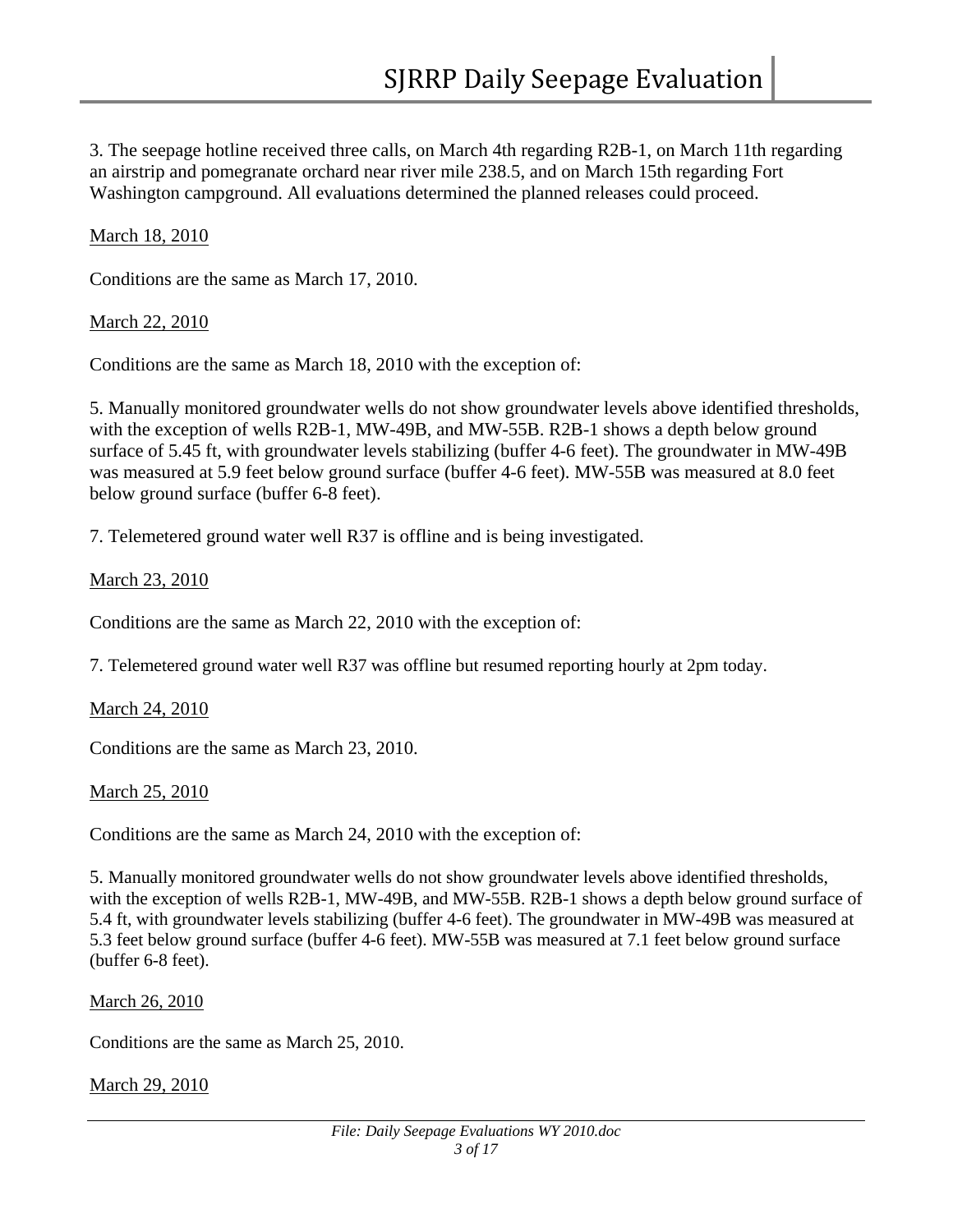3. The seepage hotline received three calls, on March 4th regarding R2B-1, on March 11th regarding an airstrip and pomegranate orchard near river mile 238.5, and on March 15th regarding Fort Washington campground. All evaluations determined the planned releases could proceed.

March 18, 2010

Conditions are the same as March 17, 2010.

March 22, 2010

Conditions are the same as March 18, 2010 with the exception of:

5. Manually monitored groundwater wells do not show groundwater levels above identified thresholds, with the exception of wells R2B-1, MW-49B, and MW-55B. R2B-1 shows a depth below ground surface of 5.45 ft, with groundwater levels stabilizing (buffer 4-6 feet). The groundwater in MW-49B was measured at 5.9 feet below ground surface (buffer 4-6 feet). MW-55B was measured at 8.0 feet below ground surface (buffer 6-8 feet).

7. Telemetered ground water well R37 is offline and is being investigated.

March 23, 2010

Conditions are the same as March 22, 2010 with the exception of:

7. Telemetered ground water well R37 was offline but resumed reporting hourly at 2pm today.

March 24, 2010

Conditions are the same as March 23, 2010.

March 25, 2010

Conditions are the same as March 24, 2010 with the exception of:

5. Manually monitored groundwater wells do not show groundwater levels above identified thresholds, with the exception of wells R2B-1, MW-49B, and MW-55B. R2B-1 shows a depth below ground surface of 5.4 ft, with groundwater levels stabilizing (buffer 4-6 feet). The groundwater in MW-49B was measured at 5.3 feet below ground surface (buffer 4-6 feet). MW-55B was measured at 7.1 feet below ground surface (buffer 6-8 feet).

March 26, 2010

Conditions are the same as March 25, 2010.

March 29, 2010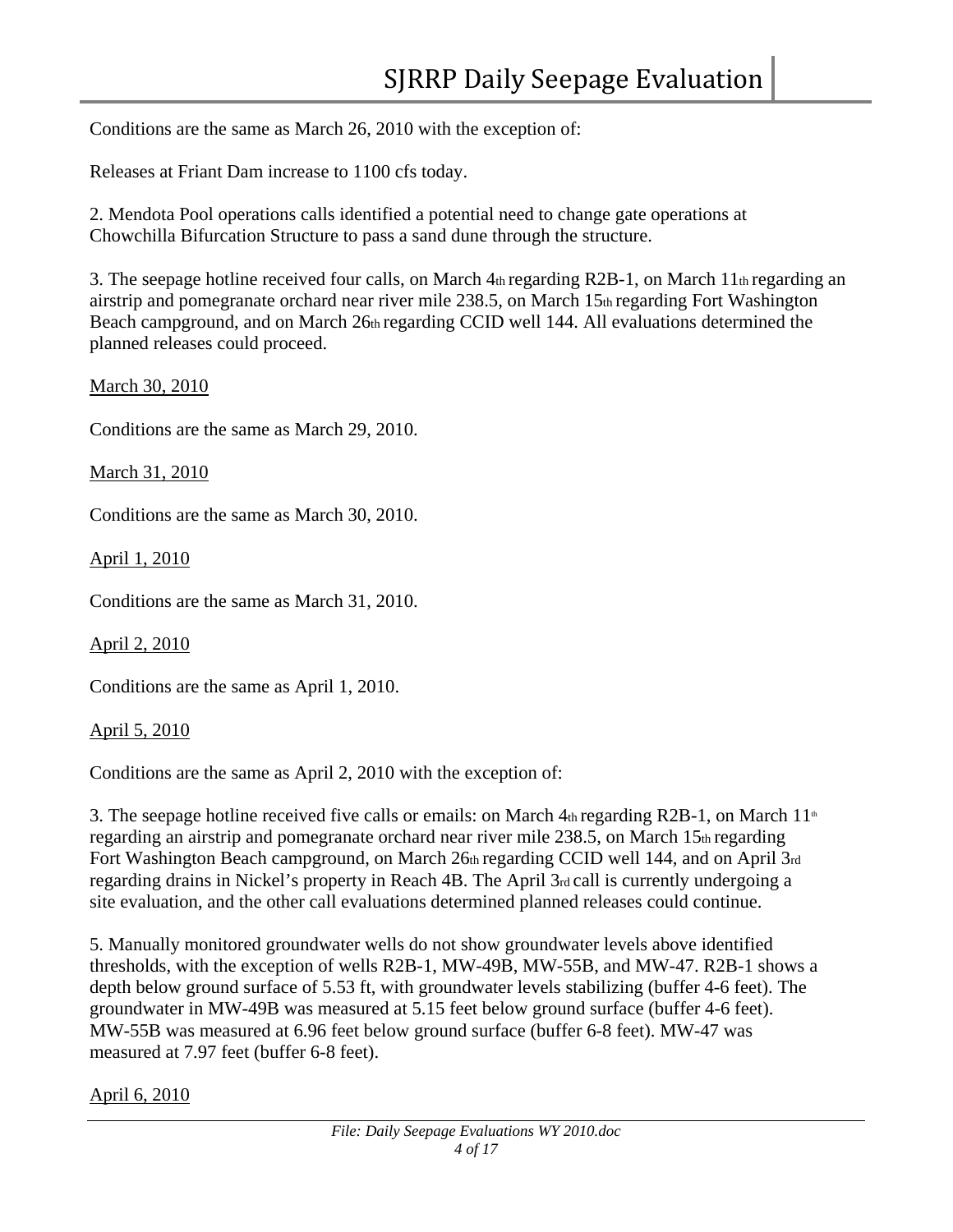Conditions are the same as March 26, 2010 with the exception of:

Releases at Friant Dam increase to 1100 cfs today.

2. Mendota Pool operations calls identified a potential need to change gate operations at Chowchilla Bifurcation Structure to pass a sand dune through the structure.

3. The seepage hotline received four calls, on March 4th regarding R2B-1, on March 11th regarding an airstrip and pomegranate orchard near river mile 238.5, on March 15th regarding Fort Washington Beach campground, and on March 26th regarding CCID well 144. All evaluations determined the planned releases could proceed.

March 30, 2010

Conditions are the same as March 29, 2010.

March 31, 2010

Conditions are the same as March 30, 2010.

April 1, 2010

Conditions are the same as March 31, 2010.

April 2, 2010

Conditions are the same as April 1, 2010.

April 5, 2010

Conditions are the same as April 2, 2010 with the exception of:

3. The seepage hotline received five calls or emails: on March  $4<sub>th</sub>$  regarding R2B-1, on March  $11<sup>th</sup>$ regarding an airstrip and pomegranate orchard near river mile 238.5, on March 15th regarding Fort Washington Beach campground, on March 26th regarding CCID well 144, and on April 3rd regarding drains in Nickel's property in Reach 4B. The April 3rd call is currently undergoing a site evaluation, and the other call evaluations determined planned releases could continue.

5. Manually monitored groundwater wells do not show groundwater levels above identified thresholds, with the exception of wells R2B-1, MW-49B, MW-55B, and MW-47. R2B-1 shows a depth below ground surface of 5.53 ft, with groundwater levels stabilizing (buffer 4-6 feet). The groundwater in MW-49B was measured at 5.15 feet below ground surface (buffer 4-6 feet). MW-55B was measured at 6.96 feet below ground surface (buffer 6-8 feet). MW-47 was measured at 7.97 feet (buffer 6-8 feet).

April 6, 2010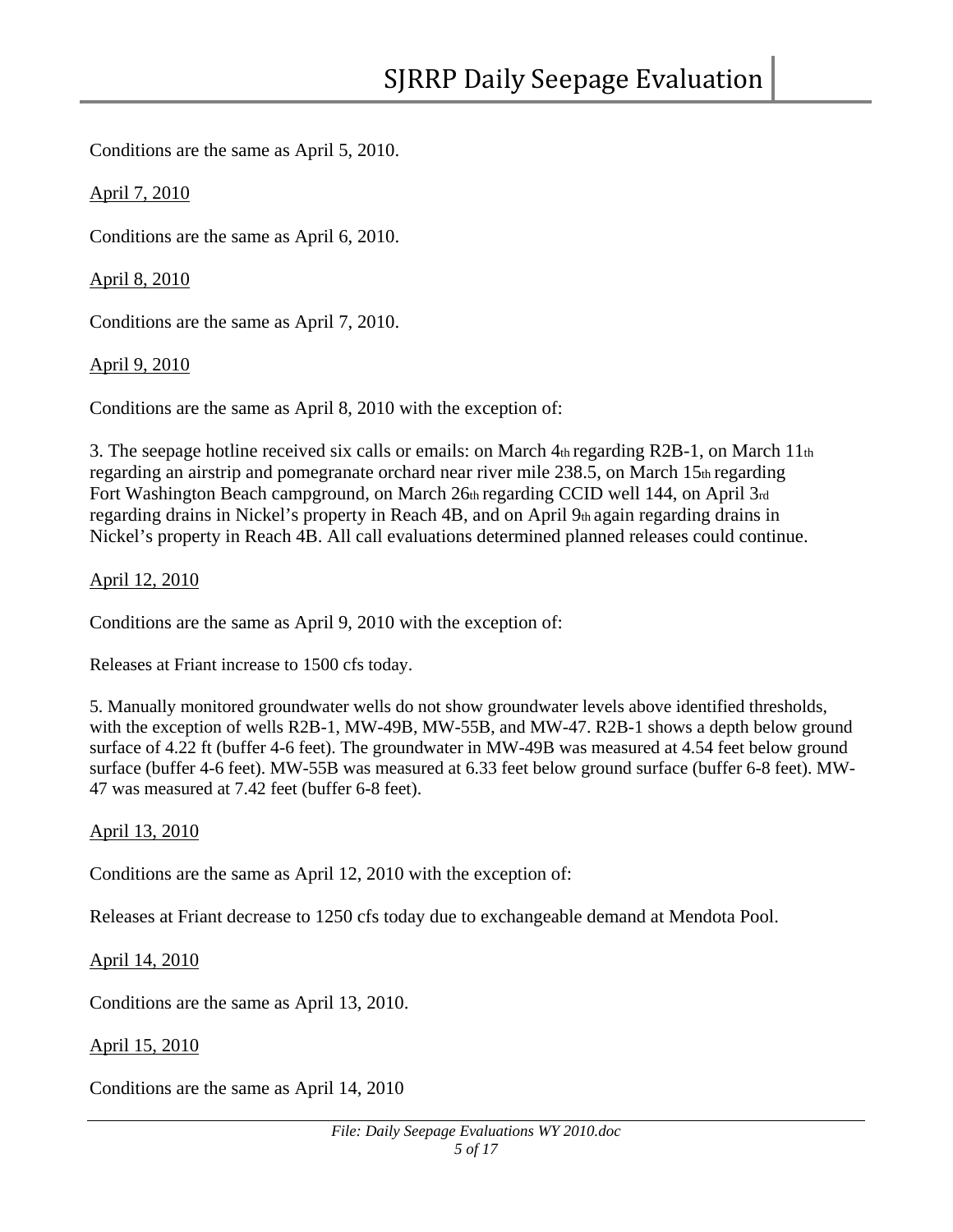Conditions are the same as April 5, 2010.

April 7, 2010

Conditions are the same as April 6, 2010.

April 8, 2010

Conditions are the same as April 7, 2010.

April 9, 2010

Conditions are the same as April 8, 2010 with the exception of:

3. The seepage hotline received six calls or emails: on March 4th regarding R2B-1, on March 11th regarding an airstrip and pomegranate orchard near river mile 238.5, on March 15th regarding Fort Washington Beach campground, on March 26th regarding CCID well 144, on April 3rd regarding drains in Nickel's property in Reach  $4B$ , and on April  $9<sub>th</sub>$  again regarding drains in Nickel's property in Reach 4B. All call evaluations determined planned releases could continue.

## April 12, 2010

Conditions are the same as April 9, 2010 with the exception of:

Releases at Friant increase to 1500 cfs today.

5. Manually monitored groundwater wells do not show groundwater levels above identified thresholds, with the exception of wells R2B-1, MW-49B, MW-55B, and MW-47. R2B-1 shows a depth below ground surface of 4.22 ft (buffer 4-6 feet). The groundwater in MW-49B was measured at 4.54 feet below ground surface (buffer 4-6 feet). MW-55B was measured at 6.33 feet below ground surface (buffer 6-8 feet). MW-47 was measured at 7.42 feet (buffer 6-8 feet).

#### April 13, 2010

Conditions are the same as April 12, 2010 with the exception of:

Releases at Friant decrease to 1250 cfs today due to exchangeable demand at Mendota Pool.

# April 14, 2010

Conditions are the same as April 13, 2010.

#### April 15, 2010

Conditions are the same as April 14, 2010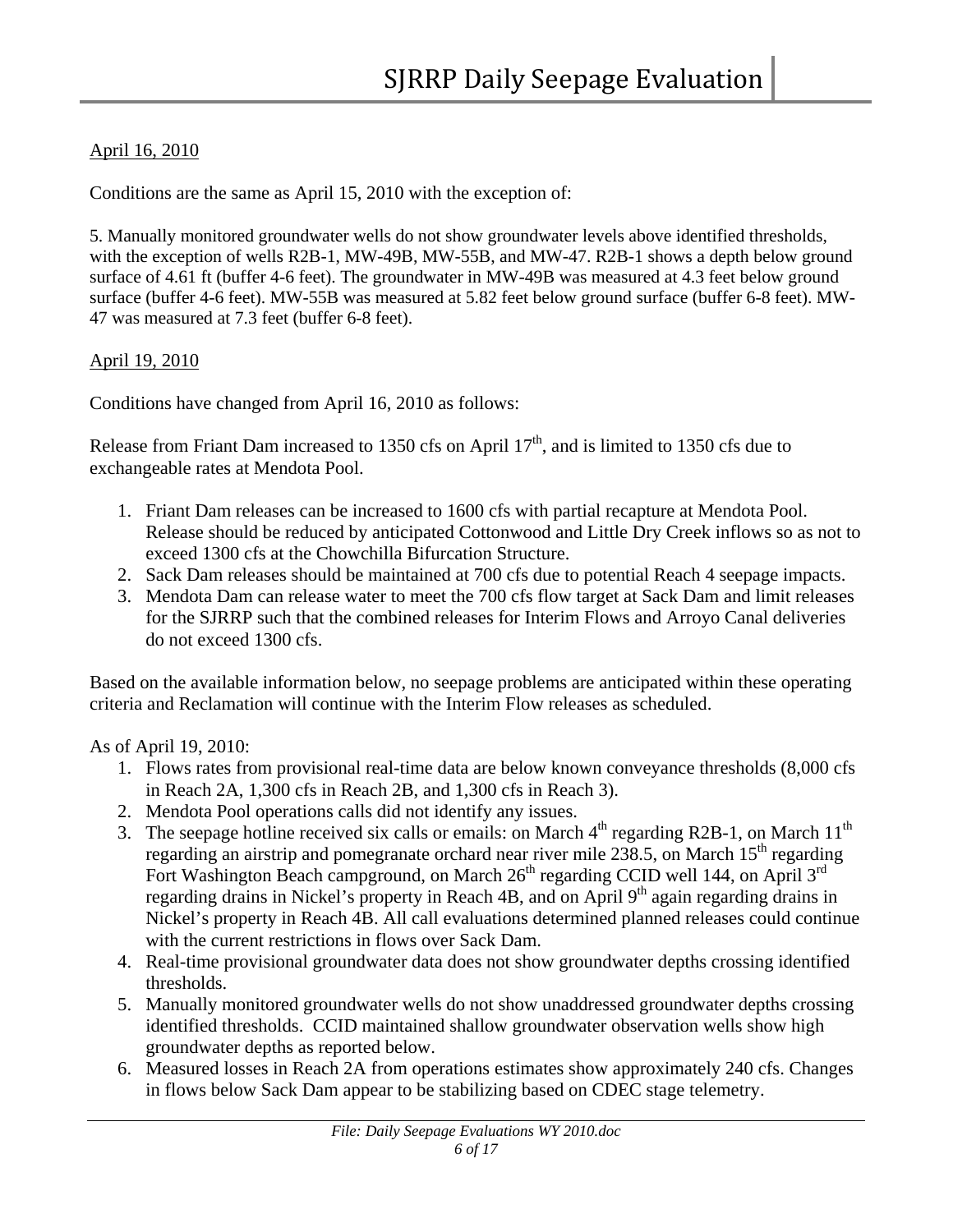# April 16, 2010

Conditions are the same as April 15, 2010 with the exception of:

5. Manually monitored groundwater wells do not show groundwater levels above identified thresholds, with the exception of wells R2B-1, MW-49B, MW-55B, and MW-47. R2B-1 shows a depth below ground surface of 4.61 ft (buffer 4-6 feet). The groundwater in MW-49B was measured at 4.3 feet below ground surface (buffer 4-6 feet). MW-55B was measured at 5.82 feet below ground surface (buffer 6-8 feet). MW-47 was measured at 7.3 feet (buffer 6-8 feet).

# April 19, 2010

Conditions have changed from April 16, 2010 as follows:

Release from Friant Dam increased to 1350 cfs on April  $17<sup>th</sup>$ , and is limited to 1350 cfs due to exchangeable rates at Mendota Pool.

- 1. Friant Dam releases can be increased to 1600 cfs with partial recapture at Mendota Pool. Release should be reduced by anticipated Cottonwood and Little Dry Creek inflows so as not to exceed 1300 cfs at the Chowchilla Bifurcation Structure.
- 2. Sack Dam releases should be maintained at 700 cfs due to potential Reach 4 seepage impacts.
- 3. Mendota Dam can release water to meet the 700 cfs flow target at Sack Dam and limit releases for the SJRRP such that the combined releases for Interim Flows and Arroyo Canal deliveries do not exceed 1300 cfs.

Based on the available information below, no seepage problems are anticipated within these operating criteria and Reclamation will continue with the Interim Flow releases as scheduled.

As of April 19, 2010:

- 1. Flows rates from provisional real-time data are below known conveyance thresholds (8,000 cfs in Reach 2A, 1,300 cfs in Reach 2B, and 1,300 cfs in Reach 3).
- 2. Mendota Pool operations calls did not identify any issues.
- 3. The seepage hotline received six calls or emails: on March  $4<sup>th</sup>$  regarding R2B-1, on March  $11<sup>th</sup>$ regarding an airstrip and pomegranate orchard near river mile 238.5, on March  $15<sup>th</sup>$  regarding Fort Washington Beach campground, on March 26<sup>th</sup> regarding CCID well 144, on April 3<sup>rd</sup> regarding drains in Nickel's property in Reach 4B, and on April 9<sup>th</sup> again regarding drains in Nickel's property in Reach 4B. All call evaluations determined planned releases could continue with the current restrictions in flows over Sack Dam.
- 4. Real-time provisional groundwater data does not show groundwater depths crossing identified thresholds.
- 5. Manually monitored groundwater wells do not show unaddressed groundwater depths crossing identified thresholds. CCID maintained shallow groundwater observation wells show high groundwater depths as reported below.
- 6. Measured losses in Reach 2A from operations estimates show approximately 240 cfs. Changes in flows below Sack Dam appear to be stabilizing based on CDEC stage telemetry.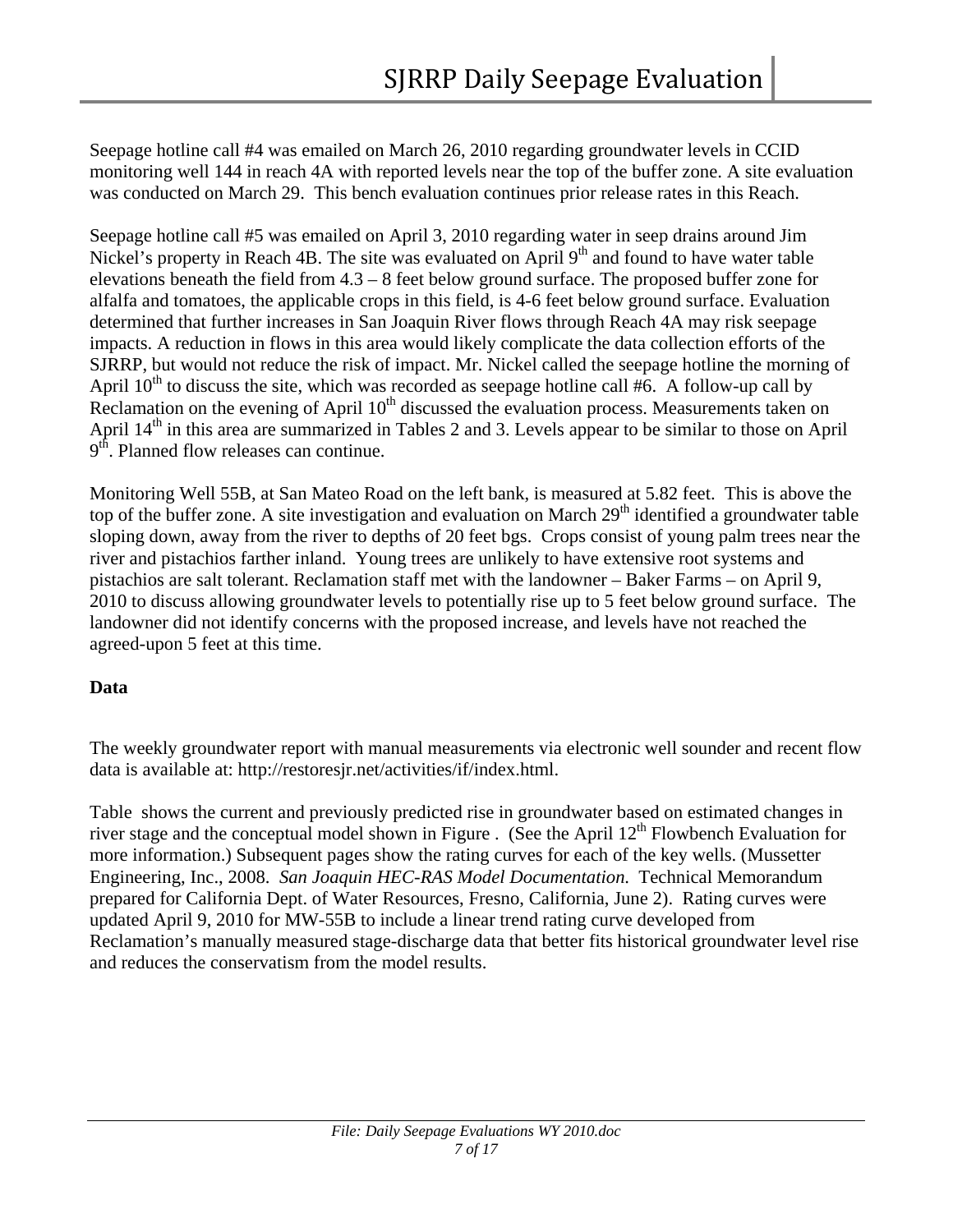Seepage hotline call #4 was emailed on March 26, 2010 regarding groundwater levels in CCID monitoring well 144 in reach 4A with reported levels near the top of the buffer zone. A site evaluation was conducted on March 29. This bench evaluation continues prior release rates in this Reach.

Seepage hotline call #5 was emailed on April 3, 2010 regarding water in seep drains around Jim Nickel's property in Reach 4B. The site was evaluated on April  $9<sup>th</sup>$  and found to have water table elevations beneath the field from 4.3 – 8 feet below ground surface. The proposed buffer zone for alfalfa and tomatoes, the applicable crops in this field, is 4-6 feet below ground surface. Evaluation determined that further increases in San Joaquin River flows through Reach 4A may risk seepage impacts. A reduction in flows in this area would likely complicate the data collection efforts of the SJRRP, but would not reduce the risk of impact. Mr. Nickel called the seepage hotline the morning of April  $10<sup>th</sup>$  to discuss the site, which was recorded as seepage hotline call #6. A follow-up call by Reclamation on the evening of April  $10<sup>th</sup>$  discussed the evaluation process. Measurements taken on April 14<sup>th</sup> in this area are summarized in Tables 2 and 3. Levels appear to be similar to those on April 9<sup>th</sup>. Planned flow releases can continue.

Monitoring Well 55B, at San Mateo Road on the left bank, is measured at 5.82 feet. This is above the top of the buffer zone. A site investigation and evaluation on March  $29<sup>th</sup>$  identified a groundwater table sloping down, away from the river to depths of 20 feet bgs. Crops consist of young palm trees near the river and pistachios farther inland. Young trees are unlikely to have extensive root systems and pistachios are salt tolerant. Reclamation staff met with the landowner – Baker Farms – on April 9, 2010 to discuss allowing groundwater levels to potentially rise up to 5 feet below ground surface. The landowner did not identify concerns with the proposed increase, and levels have not reached the agreed-upon 5 feet at this time.

# **Data**

The weekly groundwater report with manual measurements via electronic well sounder and recent flow data is available at: http://restoresjr.net/activities/if/index.html.

[Table](#page-7-0) shows the current and previously predicted rise in groundwater based on estimated changes in river stage and the conceptual model shown in [Figure .](#page-8-0) (See the April  $12<sup>th</sup>$  Flowbench Evaluation for more information.) Subsequent pages show the rating curves for each of the key wells. (Mussetter Engineering, Inc., 2008. *San Joaquin HEC-RAS Model Documentation*. Technical Memorandum prepared for California Dept. of Water Resources, Fresno, California, June 2). Rating curves were updated April 9, 2010 for MW-55B to include a linear trend rating curve developed from Reclamation's manually measured stage-discharge data that better fits historical groundwater level rise and reduces the conservatism from the model results.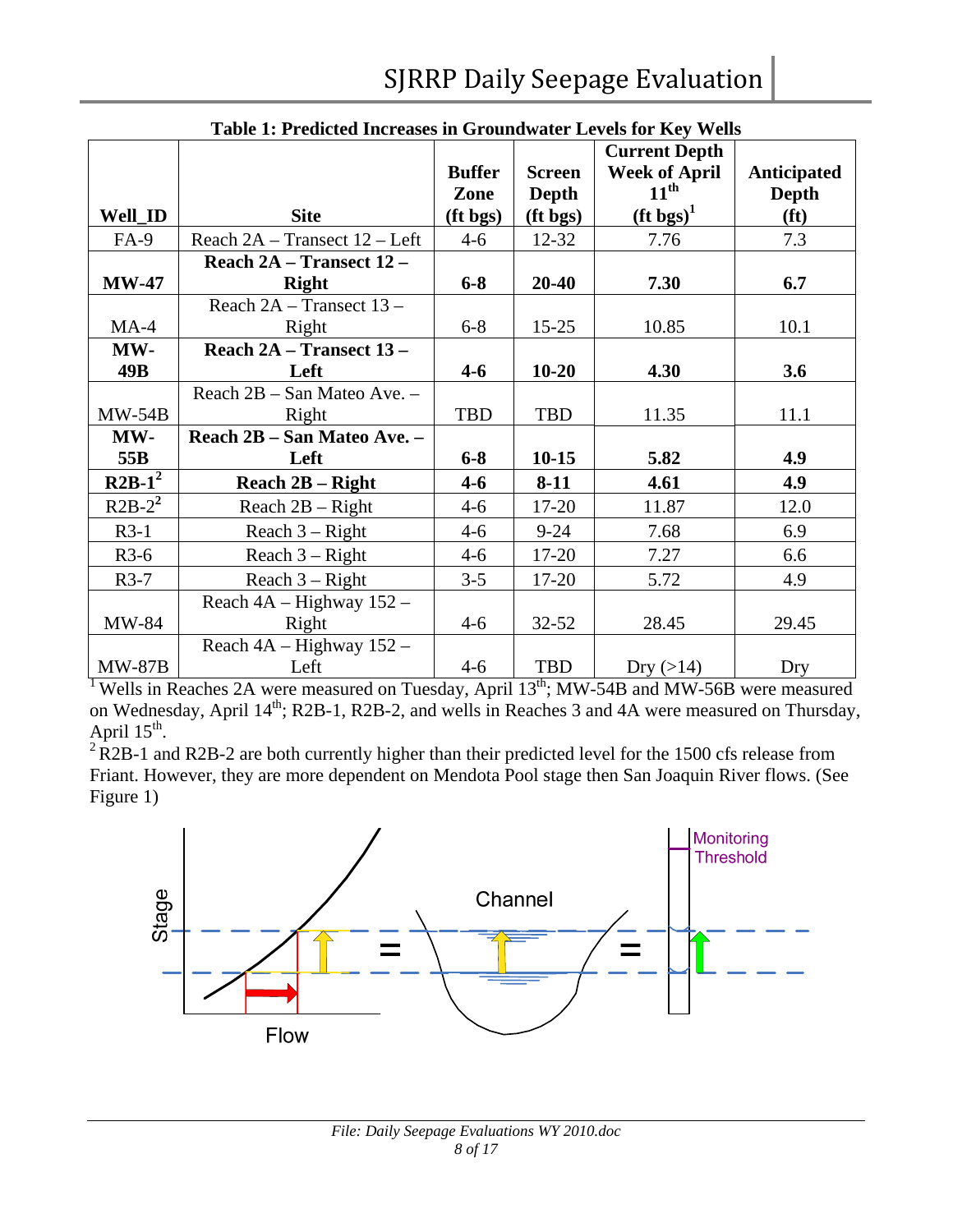<span id="page-7-0"></span>

|                | Table 1: Predicted Increases in Groundwater Levels for Key Wells |               |               |                      |                    |  |
|----------------|------------------------------------------------------------------|---------------|---------------|----------------------|--------------------|--|
|                |                                                                  |               |               | <b>Current Depth</b> |                    |  |
|                |                                                                  | <b>Buffer</b> | <b>Screen</b> | <b>Week of April</b> | <b>Anticipated</b> |  |
|                |                                                                  | Zone          | <b>Depth</b>  | $11^{\text{th}}$     | Depth              |  |
| <b>Well_ID</b> | <b>Site</b>                                                      | (ft bgs)      | (ft bgs)      | $(\text{ft bgs})^1$  | (f <sup>t</sup> )  |  |
| $FA-9$         | Reach 2A – Transect 12 – Left                                    | $4 - 6$       | $12 - 32$     | 7.76                 | 7.3                |  |
|                | Reach 2A - Transect 12 -                                         |               |               |                      |                    |  |
| $MW-47$        | <b>Right</b>                                                     | $6 - 8$       | 20-40         | 7.30                 | 6.7                |  |
|                | Reach 2A - Transect 13 -                                         |               |               |                      |                    |  |
| $MA-4$         | Right                                                            | $6 - 8$       | $15 - 25$     | 10.85                | 10.1               |  |
| MW-            | Reach 2A - Transect 13 -                                         |               |               |                      |                    |  |
| 49B            | Left                                                             | $4 - 6$       | $10 - 20$     | 4.30                 | 3.6                |  |
|                | Reach 2B - San Mateo Ave. -                                      |               |               |                      |                    |  |
| $MW-54B$       | Right                                                            | <b>TBD</b>    | <b>TBD</b>    | 11.35                | 11.1               |  |
| MW-            | Reach 2B - San Mateo Ave. -                                      |               |               |                      |                    |  |
| 55B            | Left                                                             | $6 - 8$       | $10 - 15$     | 5.82                 | 4.9                |  |
| $R2B-1^2$      | Reach $2B - Right$                                               | $4 - 6$       | $8-11$        | 4.61                 | 4.9                |  |
| $R2B-2^2$      | Reach $2B - Right$                                               | $4 - 6$       | 17-20         | 11.87                | 12.0               |  |
| $R3-1$         | Reach $3 - Right$                                                | $4 - 6$       | $9 - 24$      | 7.68                 | 6.9                |  |
| $R3-6$         | Reach $3 - Right$                                                | $4 - 6$       | 17-20         | 7.27                 | 6.6                |  |
| $R3-7$         | Reach $3 - Right$                                                | $3 - 5$       | 17-20         | 5.72                 | 4.9                |  |
|                | Reach $4A - Highway$ 152 -                                       |               |               |                      |                    |  |
| MW-84          | Right                                                            | $4 - 6$       | $32 - 52$     | 28.45                | 29.45              |  |
|                | Reach 4A - Highway 152 -                                         |               |               |                      |                    |  |
| <b>MW-87B</b>  | Left                                                             | $4 - 6$       | <b>TBD</b>    | Dry $(>14)$          | Dry                |  |

|--|

<sup>1</sup> Wells in Reaches 2A were measured on Tuesday, April 13<sup>th</sup>; MW-54B and MW-56B were measured on Wednesday, April 14<sup>th</sup>; R2B-1, R2B-2, and wells in Reaches 3 and 4A were measured on Thursday, April  $15^{th}$ .<br><sup>2</sup> R2B-1 and R2B-2 are both currently higher than their predicted level for the 1500 cfs release from

Friant. However, they are more dependent on Mendota Pool stage then San Joaquin River flows. (See Figure 1)

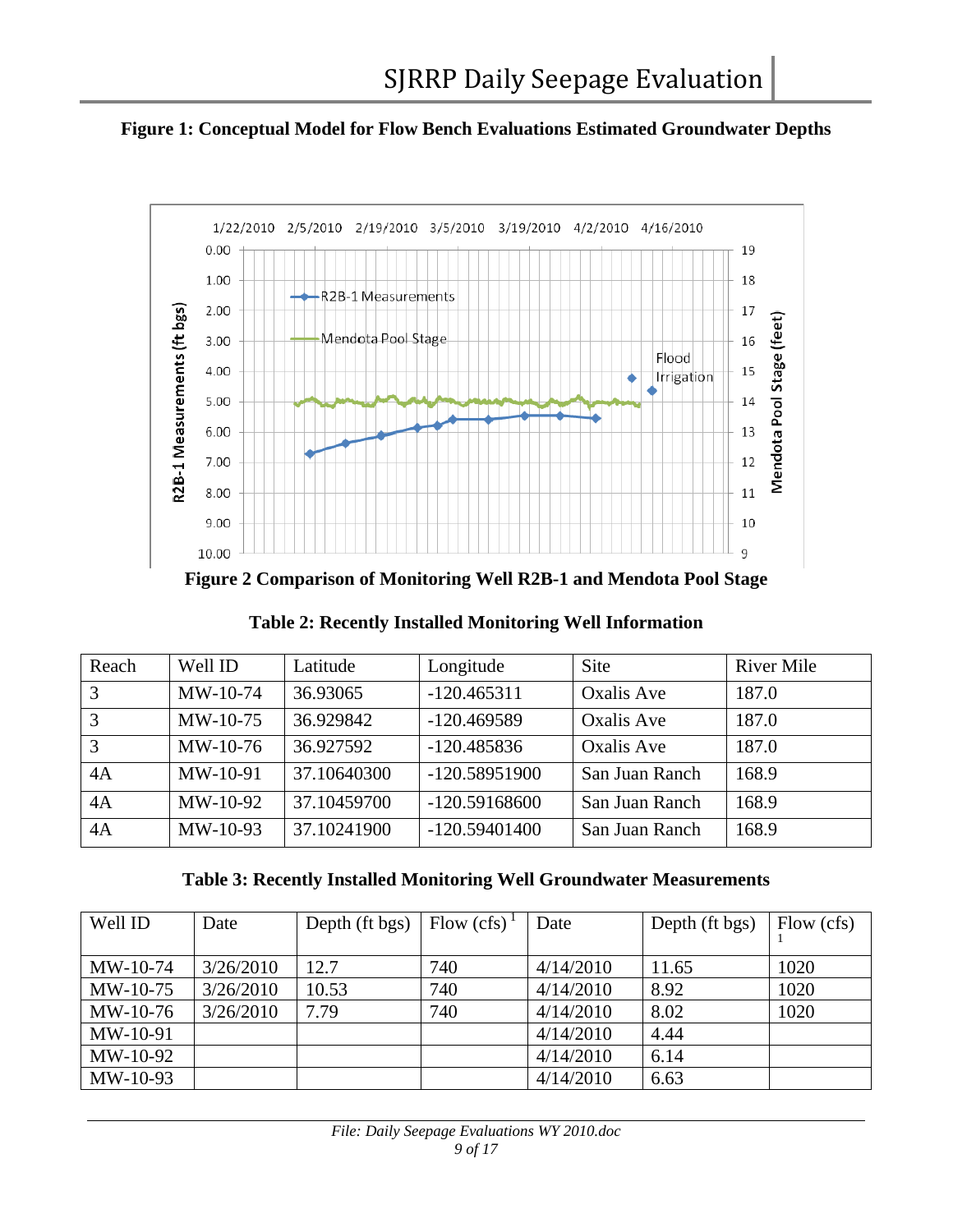<span id="page-8-0"></span>



**Figure 2 Comparison of Monitoring Well R2B-1 and Mendota Pool Stage** 

| Reach | Well ID    | Latitude    | Longitude       | <b>Site</b>       | <b>River Mile</b> |
|-------|------------|-------------|-----------------|-------------------|-------------------|
| 3     | MW-10-74   | 36.93065    | $-120.465311$   | Oxalis Ave        | 187.0             |
| 3     | MW-10-75   | 36.929842   | $-120.469589$   | <b>Oxalis Ave</b> | 187.0             |
| 3     | $MW-10-76$ | 36.927592   | $-120.485836$   | <b>Oxalis Ave</b> | 187.0             |
| 4A    | $MW-10-91$ | 37.10640300 | $-120.58951900$ | San Juan Ranch    | 168.9             |
| 4A    | MW-10-92   | 37.10459700 | $-120.59168600$ | San Juan Ranch    | 168.9             |
| 4A    | $MW-10-93$ | 37.10241900 | $-120.59401400$ | San Juan Ranch    | 168.9             |

**Table 3: Recently Installed Monitoring Well Groundwater Measurements** 

| Well ID    | Date      | Depth (ft bgs) | Flow (cfs) | Date      | Depth (ft bgs) | Flow (cfs) |
|------------|-----------|----------------|------------|-----------|----------------|------------|
| $MW-10-74$ | 3/26/2010 | 12.7           | 740        | 4/14/2010 | 11.65          | 1020       |
| $MW-10-75$ | 3/26/2010 | 10.53          | 740        | 4/14/2010 | 8.92           | 1020       |
| $MW-10-76$ | 3/26/2010 | 7.79           | 740        | 4/14/2010 | 8.02           | 1020       |
| $MW-10-91$ |           |                |            | 4/14/2010 | 4.44           |            |
| MW-10-92   |           |                |            | 4/14/2010 | 6.14           |            |
| MW-10-93   |           |                |            | 4/14/2010 | 6.63           |            |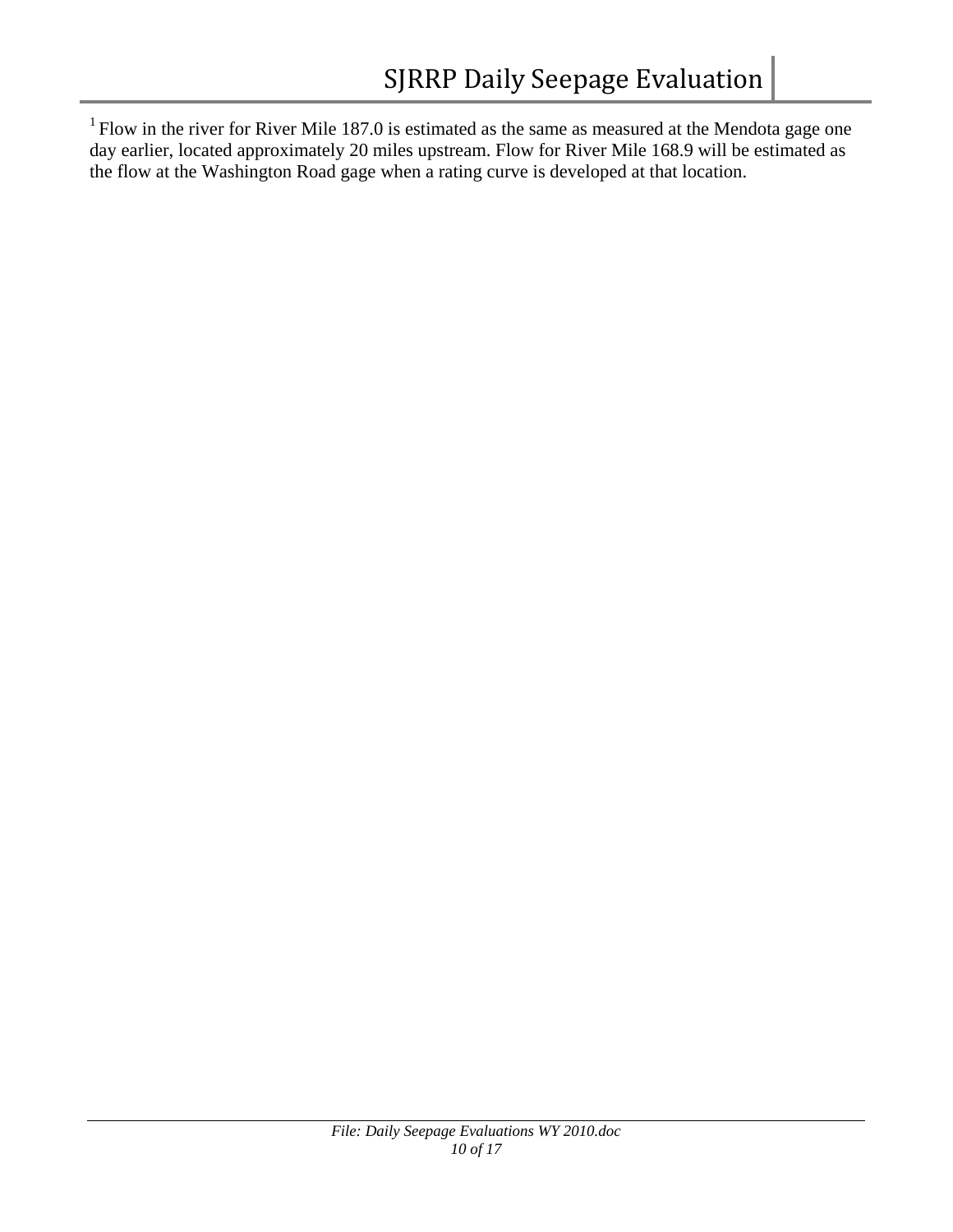$1$  Flow in the river for River Mile 187.0 is estimated as the same as measured at the Mendota gage one day earlier, located approximately 20 miles upstream. Flow for River Mile 168.9 will be estimated as the flow at the Washington Road gage when a rating curve is developed at that location.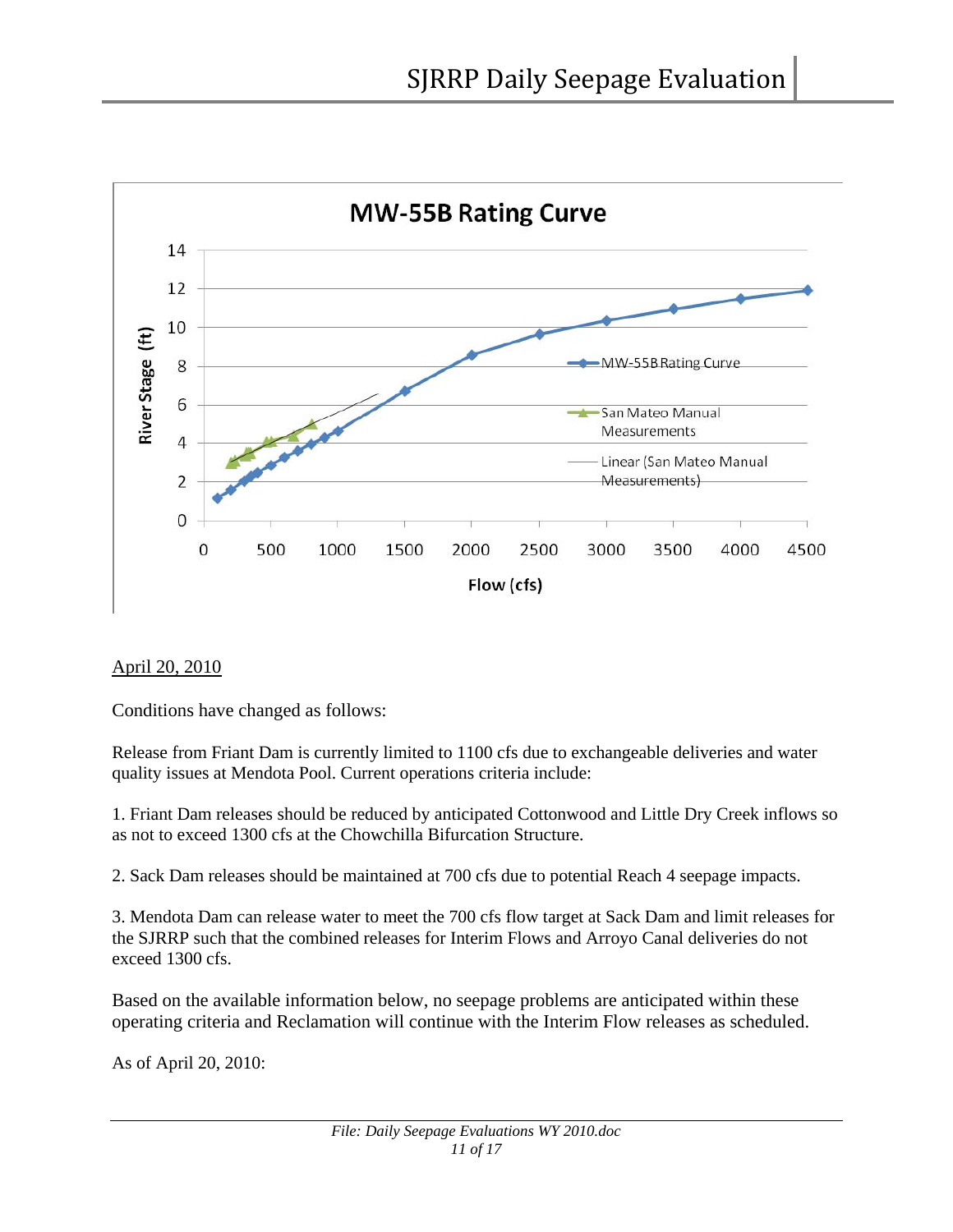

# April 20, 2010

Conditions have changed as follows:

Release from Friant Dam is currently limited to 1100 cfs due to exchangeable deliveries and water quality issues at Mendota Pool. Current operations criteria include:

1. Friant Dam releases should be reduced by anticipated Cottonwood and Little Dry Creek inflows so as not to exceed 1300 cfs at the Chowchilla Bifurcation Structure.

2. Sack Dam releases should be maintained at 700 cfs due to potential Reach 4 seepage impacts.

3. Mendota Dam can release water to meet the 700 cfs flow target at Sack Dam and limit releases for the SJRRP such that the combined releases for Interim Flows and Arroyo Canal deliveries do not exceed 1300 cfs.

Based on the available information below, no seepage problems are anticipated within these operating criteria and Reclamation will continue with the Interim Flow releases as scheduled.

As of April 20, 2010: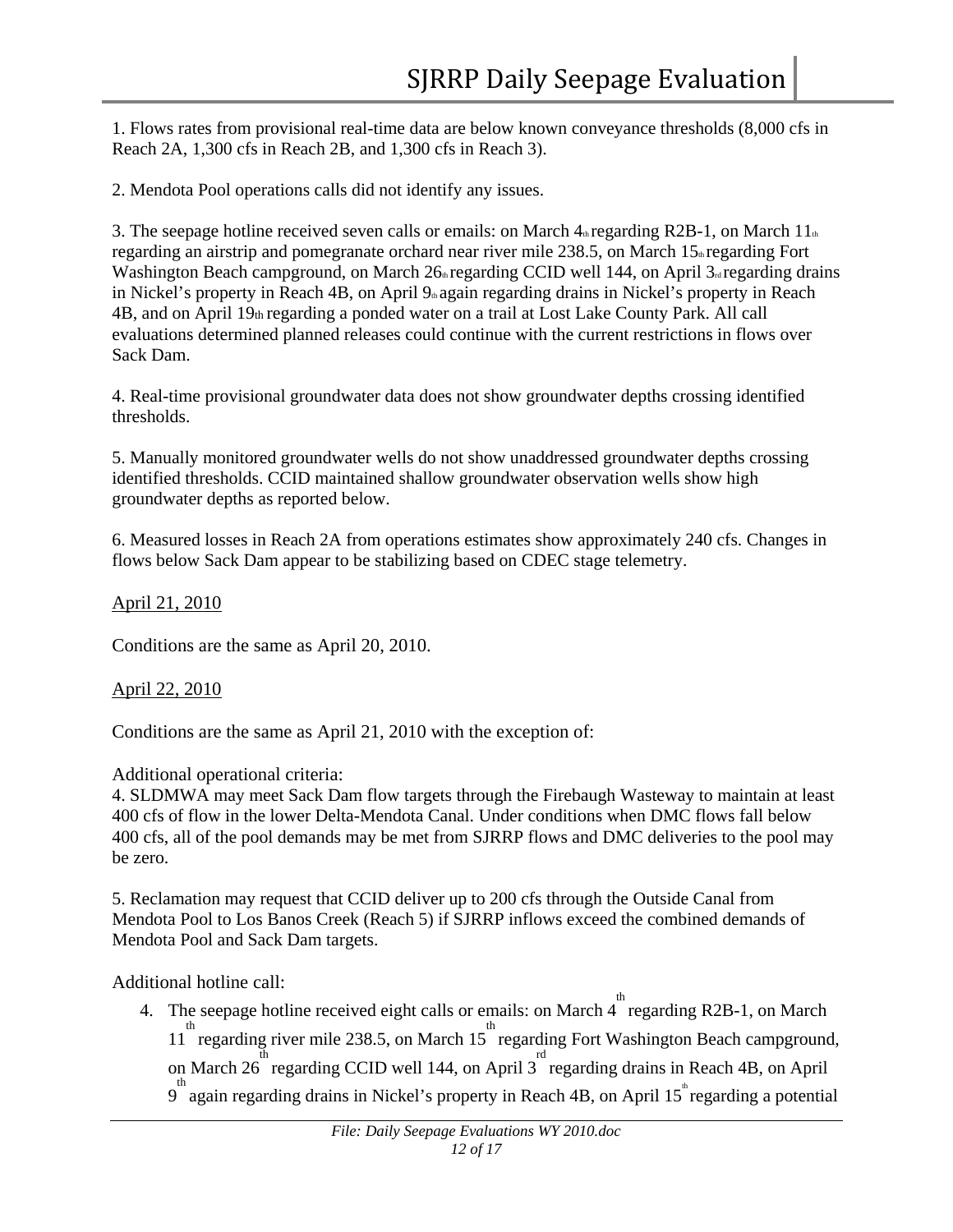1. Flows rates from provisional real-time data are below known conveyance thresholds (8,000 cfs in Reach 2A, 1,300 cfs in Reach 2B, and 1,300 cfs in Reach 3).

2. Mendota Pool operations calls did not identify any issues.

3. The seepage hotline received seven calls or emails: on March  $4<sub>th</sub>$  regarding R2B-1, on March  $11<sub>th</sub>$ regarding an airstrip and pomegranate orchard near river mile 238.5, on March 15<sup>th</sup> regarding Fort Washington Beach campground, on March 26<sup>th</sup> regarding CCID well 144, on April 3<sup>rd</sup> regarding drains in Nickel's property in Reach 4B, on April 9<sup>th</sup> again regarding drains in Nickel's property in Reach 4B, and on April 19th regarding a ponded water on a trail at Lost Lake County Park. All call evaluations determined planned releases could continue with the current restrictions in flows over Sack Dam.

4. Real-time provisional groundwater data does not show groundwater depths crossing identified thresholds.

5. Manually monitored groundwater wells do not show unaddressed groundwater depths crossing identified thresholds. CCID maintained shallow groundwater observation wells show high groundwater depths as reported below.

6. Measured losses in Reach 2A from operations estimates show approximately 240 cfs. Changes in flows below Sack Dam appear to be stabilizing based on CDEC stage telemetry.

## April 21, 2010

Conditions are the same as April 20, 2010.

#### April 22, 2010

Conditions are the same as April 21, 2010 with the exception of:

#### Additional operational criteria:

4. SLDMWA may meet Sack Dam flow targets through the Firebaugh Wasteway to maintain at least 400 cfs of flow in the lower Delta-Mendota Canal. Under conditions when DMC flows fall below 400 cfs, all of the pool demands may be met from SJRRP flows and DMC deliveries to the pool may be zero.

5. Reclamation may request that CCID deliver up to 200 cfs through the Outside Canal from Mendota Pool to Los Banos Creek (Reach 5) if SJRRP inflows exceed the combined demands of Mendota Pool and Sack Dam targets.

Additional hotline call:

4. The seepage hotline received eight calls or emails: on March  $4^{th}$  regarding R2B-1, on March <sup>th</sup> regarding river mile 238.5, on March 15<sup>th</sup> regarding Fort Washington Beach campground, on March 26<sup>th</sup> regarding CCID well 144, on April 3<sup>rd</sup> regarding drains in Reach 4B, on April <sup>th</sup> again regarding drains in Nickel's property in Reach 4B, on April 15<sup>th</sup> regarding a potential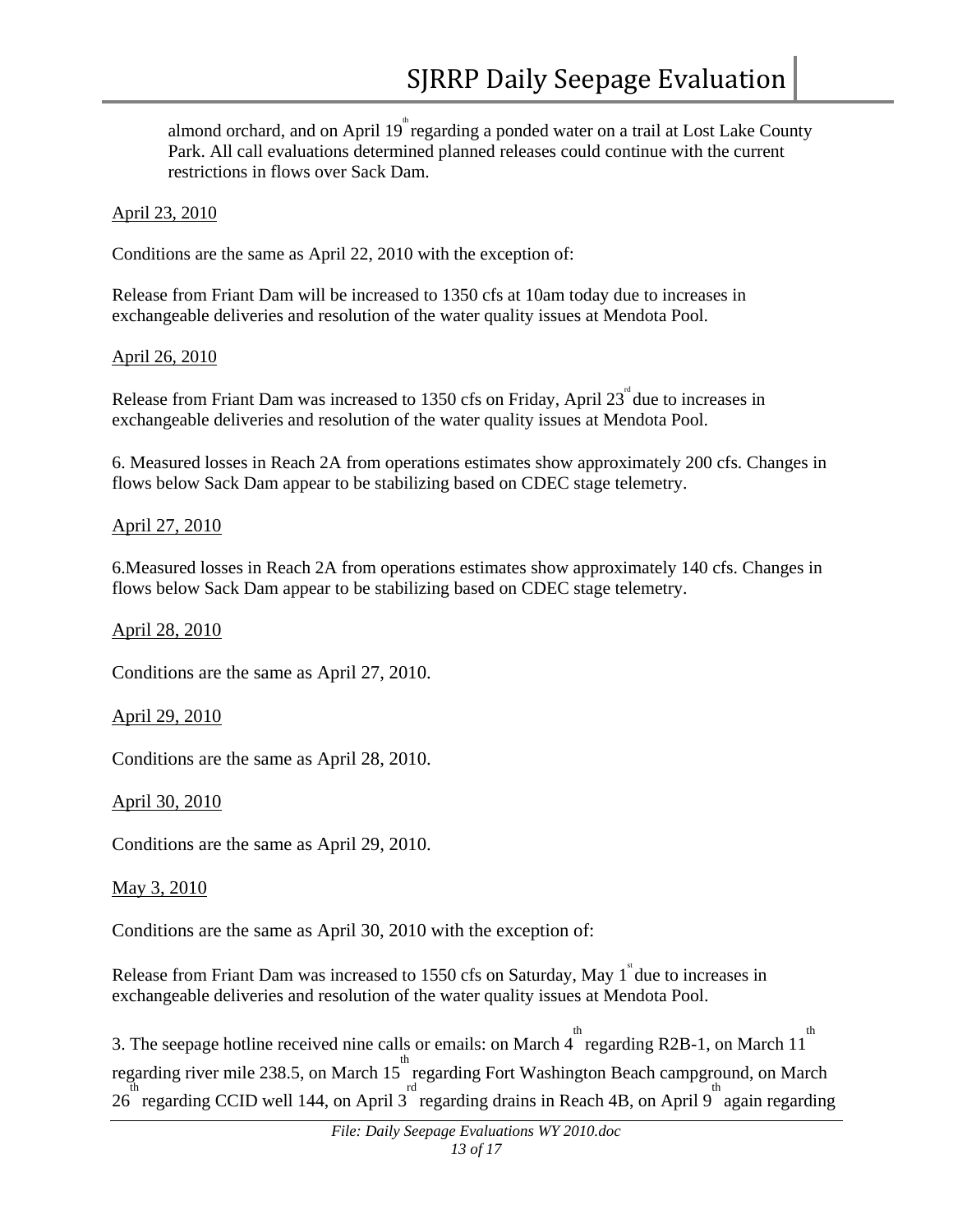almond orchard, and on April 19<sup>th</sup> regarding a ponded water on a trail at Lost Lake County Park. All call evaluations determined planned releases could continue with the current restrictions in flows over Sack Dam.

#### April 23, 2010

Conditions are the same as April 22, 2010 with the exception of:

Release from Friant Dam will be increased to 1350 cfs at 10am today due to increases in exchangeable deliveries and resolution of the water quality issues at Mendota Pool.

#### April 26, 2010

Release from Friant Dam was increased to 1350 cfs on Friday, April  $23^{\text{nd}}$  due to increases in exchangeable deliveries and resolution of the water quality issues at Mendota Pool.

6. Measured losses in Reach 2A from operations estimates show approximately 200 cfs. Changes in flows below Sack Dam appear to be stabilizing based on CDEC stage telemetry.

#### April 27, 2010

6.Measured losses in Reach 2A from operations estimates show approximately 140 cfs. Changes in flows below Sack Dam appear to be stabilizing based on CDEC stage telemetry.

#### April 28, 2010

Conditions are the same as April 27, 2010.

#### April 29, 2010

Conditions are the same as April 28, 2010.

April 30, 2010

Conditions are the same as April 29, 2010.

#### May 3, 2010

Conditions are the same as April 30, 2010 with the exception of:

Release from Friant Dam was increased to 1550 cfs on Saturday, May  $1^{\degree}$  due to increases in exchangeable deliveries and resolution of the water quality issues at Mendota Pool.

3. The seepage hotline received nine calls or emails: on March  $\stackrel{\text{th}}{4}$  regarding R2B-1, on March 11<sup>th</sup> regarding river mile 238.5, on March 15<sup>th</sup> regarding Fort Washington Beach campground, on March  $26$  regarding CCID well 144, on April 3 regarding drains in Reach 4B, on April 9 again regarding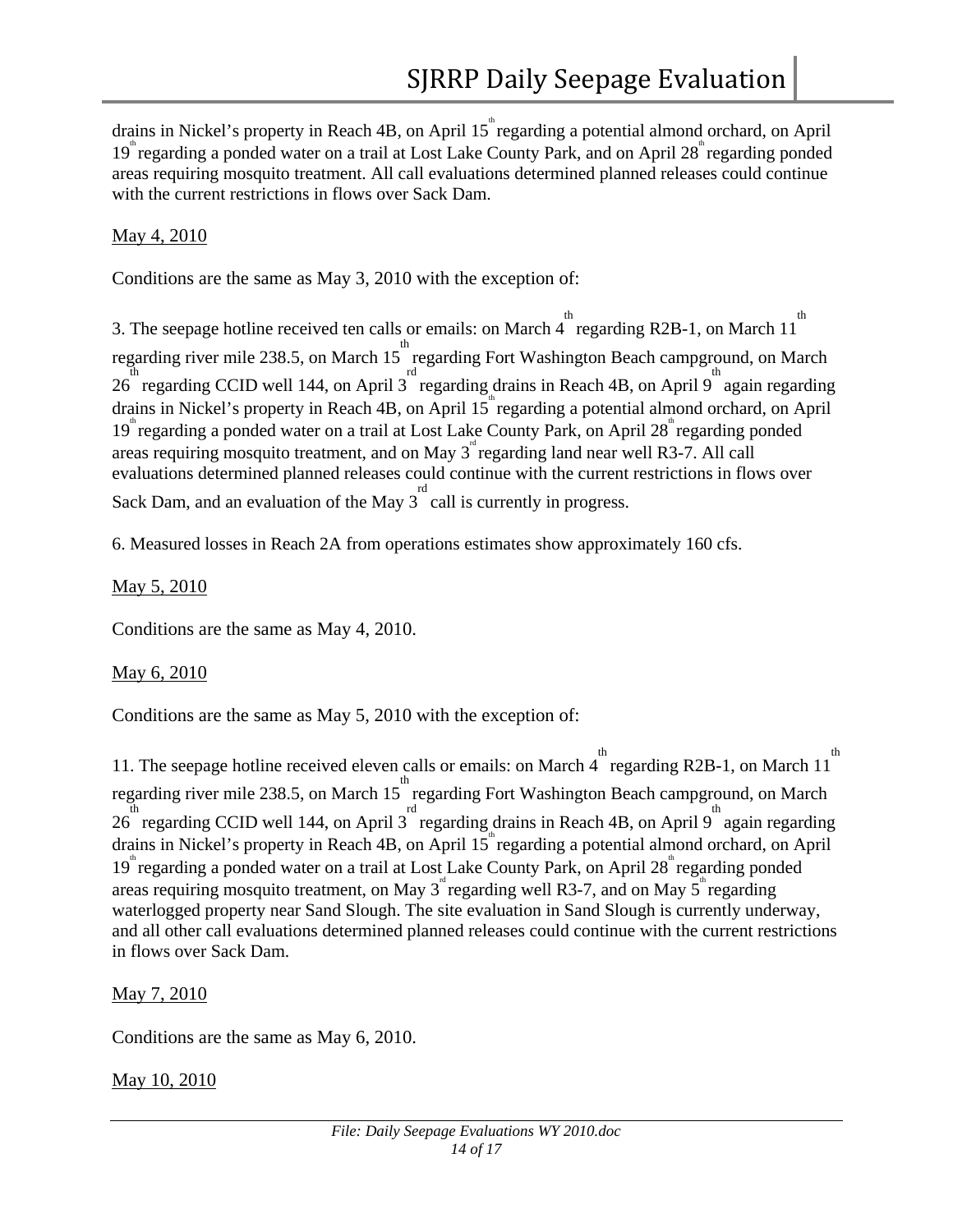drains in Nickel's property in Reach 4B, on April 15<sup>th</sup> regarding a potential almond orchard, on April 19<sup>th</sup> regarding a ponded water on a trail at Lost Lake County Park, and on April 28<sup>th</sup> regarding ponded areas requiring mosquito treatment. All call evaluations determined planned releases could continue with the current restrictions in flows over Sack Dam.

# May 4, 2010

Conditions are the same as May 3, 2010 with the exception of:

3. The seepage hotline received ten calls or emails: on March 4  $\degree$  regarding R2B-1, on March 11<sup>th</sup> regarding river mile 238.5, on March 15<sup>th</sup> regarding Fort Washington Beach campground, on March th<br>
26 regarding CCID well 144, on April 3 regarding drains in Reach 4B, on April 9 again regarding drains in Nickel's property in Reach 4B, on April 15<sup>th</sup> regarding a potential almond orchard, on April 19<sup>th</sup> regarding a ponded water on a trail at Lost Lake County Park, on April 28<sup>th</sup> regarding ponded areas requiring mosquito treatment, and on May  $3^{\degree}$  regarding land near well R3-7. All call evaluations determined planned releases could continue with the current restrictions in flows over Sack Dam, and an evaluation of the May  $3^{\text{rd}}$  call is currently in progress.

6. Measured losses in Reach 2A from operations estimates show approximately 160 cfs.

# May 5, 2010

Conditions are the same as May 4, 2010.

# May 6, 2010

Conditions are the same as May 5, 2010 with the exception of:

11. The seepage hotline received eleven calls or emails: on March 4 regarding R2B-1, on March 11<sup>th</sup> regarding river mile 238.5, on March 15<sup>th</sup> regarding Fort Washington Beach campground, on March  $26$  regarding CCID well 144, on April 3 regarding drains in Reach 4B, on April 9 again regarding drains in Nickel's property in Reach 4B, on April 15<sup>th</sup> regarding a potential almond orchard, on April 19<sup>th</sup> regarding a ponded water on a trail at Lost Lake County Park, on April 28<sup>th</sup> regarding ponded areas requiring mosquito treatment, on May  $3^{\degree}$  regarding well R3-7, and on May  $5^{\degree}$  regarding waterlogged property near Sand Slough. The site evaluation in Sand Slough is currently underway, and all other call evaluations determined planned releases could continue with the current restrictions in flows over Sack Dam.

# May 7, 2010

Conditions are the same as May 6, 2010.

May 10, 2010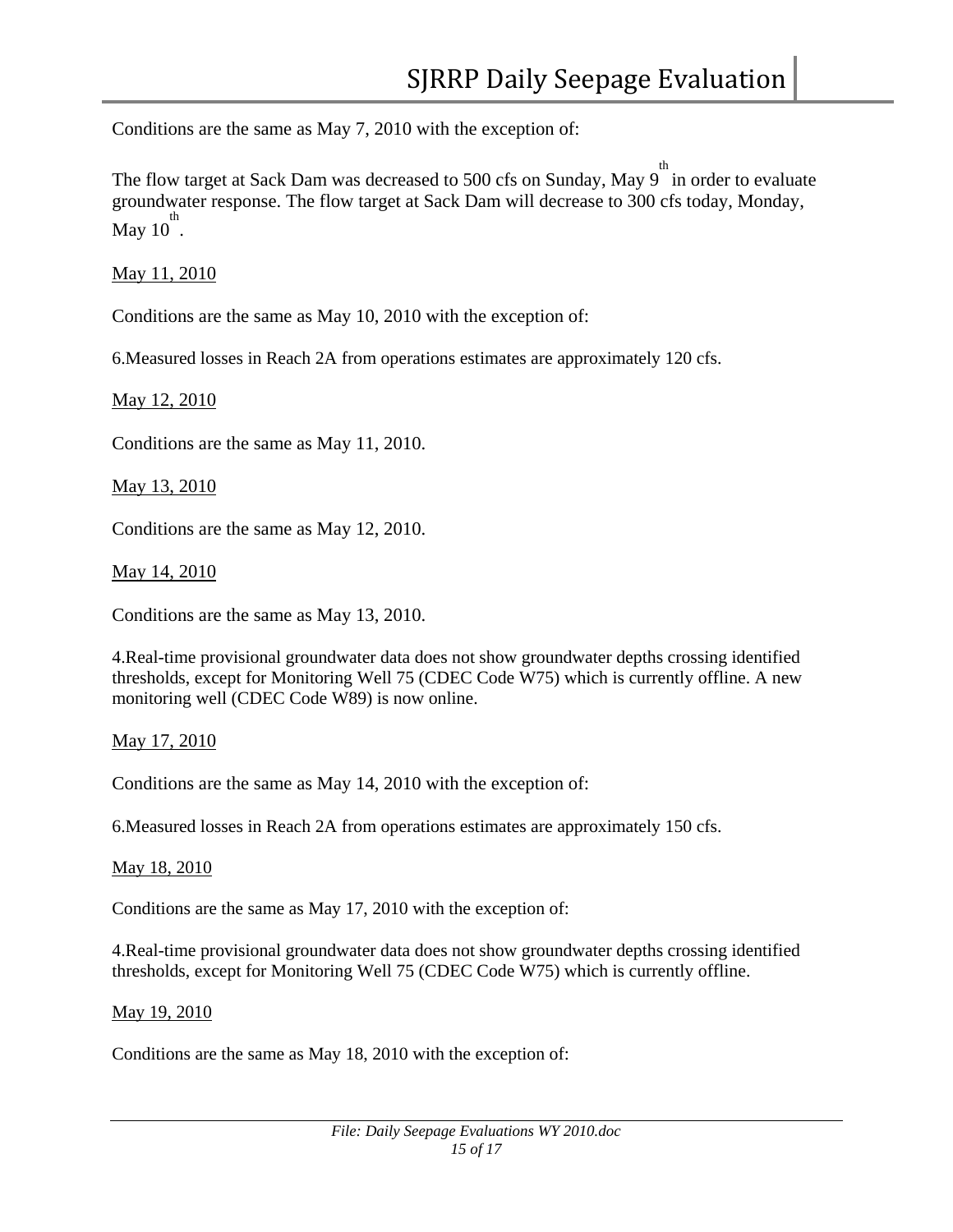Conditions are the same as May 7, 2010 with the exception of:

The flow target at Sack Dam was decreased to 500 cfs on Sunday, May  $9^{th}$  in order to evaluate groundwater response. The flow target at Sack Dam will decrease to 300 cfs today, Monday,  $\sum_{\text{May 10} \atop \text{of } \text{th}}$ 

May 11, 2010

Conditions are the same as May 10, 2010 with the exception of:

6.Measured losses in Reach 2A from operations estimates are approximately 120 cfs.

May 12, 2010

Conditions are the same as May 11, 2010.

May 13, 2010

Conditions are the same as May 12, 2010.

May 14, 2010

Conditions are the same as May 13, 2010.

4.Real-time provisional groundwater data does not show groundwater depths crossing identified thresholds, except for Monitoring Well 75 (CDEC Code W75) which is currently offline. A new monitoring well (CDEC Code W89) is now online.

#### May 17, 2010

Conditions are the same as May 14, 2010 with the exception of:

6.Measured losses in Reach 2A from operations estimates are approximately 150 cfs.

May 18, 2010

Conditions are the same as May 17, 2010 with the exception of:

4.Real-time provisional groundwater data does not show groundwater depths crossing identified thresholds, except for Monitoring Well 75 (CDEC Code W75) which is currently offline.

#### May 19, 2010

Conditions are the same as May 18, 2010 with the exception of: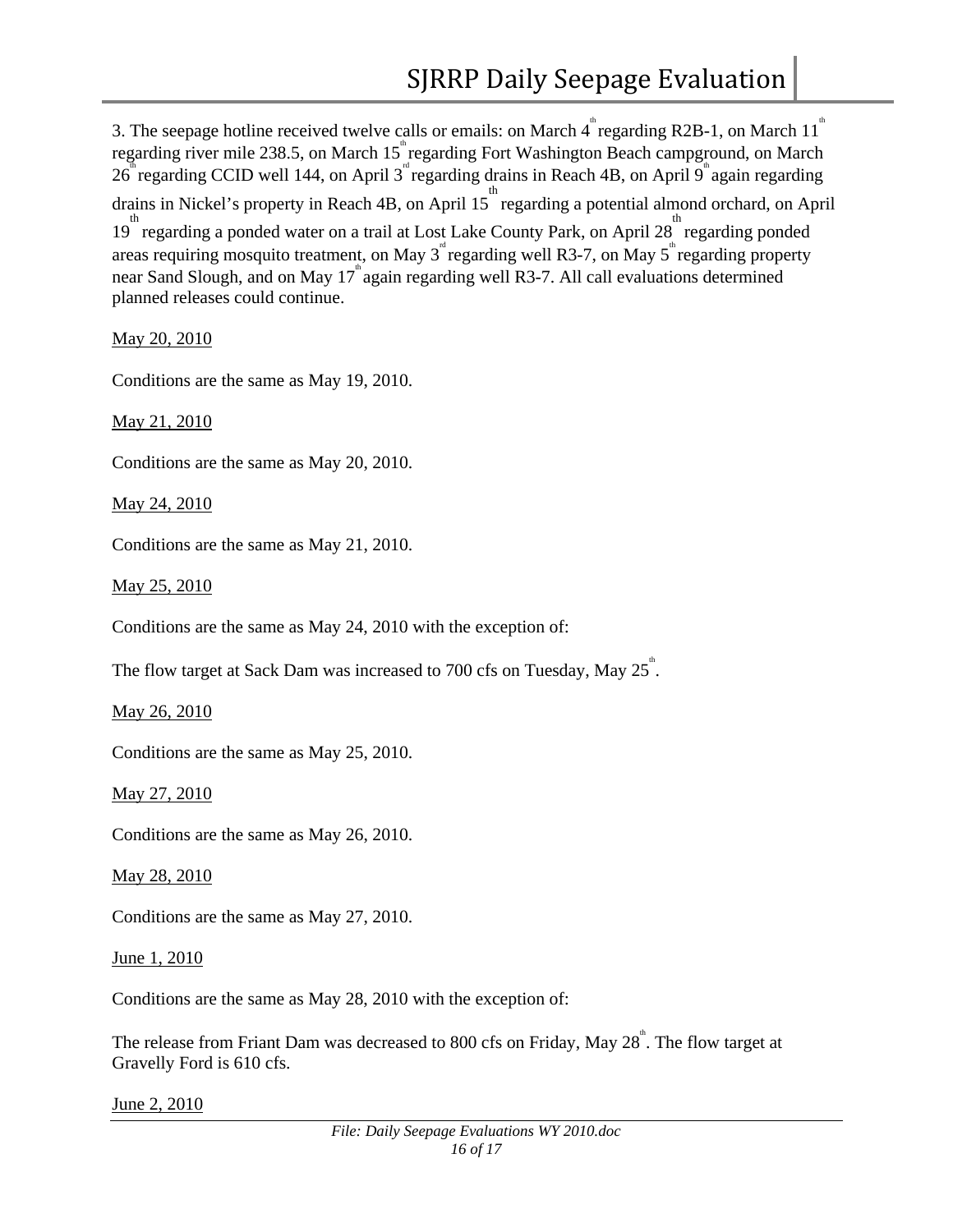3. The seepage hotline received twelve calls or emails: on March  $4^{\degree}$  regarding R2B-1, on March 11<sup>th</sup> regarding river mile 238.5, on March 15<sup>th</sup> regarding Fort Washington Beach campground, on March  $26^{\degree}$  regarding CCID well 144, on April 3<sup>rd</sup> regarding drains in Reach 4B, on April 9<sup>th</sup> again regarding drains in Nickel's property in Reach 4B, on April 15 th regarding a potential almond orchard, on April <sup>th</sup> regarding a ponded water on a trail at Lost Lake County Park, on April 28<sup>th</sup> regarding ponded areas requiring mosquito treatment, on May  $3^{\omega}$  regarding well R3-7, on May  $5^{\omega}$  regarding property near Sand Slough, and on May 17<sup>th</sup> again regarding well R3-7. All call evaluations determined planned releases could continue.

May 20, 2010

Conditions are the same as May 19, 2010.

May 21, 2010

Conditions are the same as May 20, 2010.

May 24, 2010

Conditions are the same as May 21, 2010.

May 25, 2010

Conditions are the same as May 24, 2010 with the exception of:

The flow target at Sack Dam was increased to 700 cfs on Tuesday, May  $25^{\degree}$ .

May 26, 2010

Conditions are the same as May 25, 2010.

May 27, 2010

Conditions are the same as May 26, 2010.

May 28, 2010

Conditions are the same as May 27, 2010.

June 1, 2010

Conditions are the same as May 28, 2010 with the exception of:

The release from Friant Dam was decreased to 800 cfs on Friday, May  $28^{\degree}$ . The flow target at Gravelly Ford is 610 cfs.

June 2, 2010